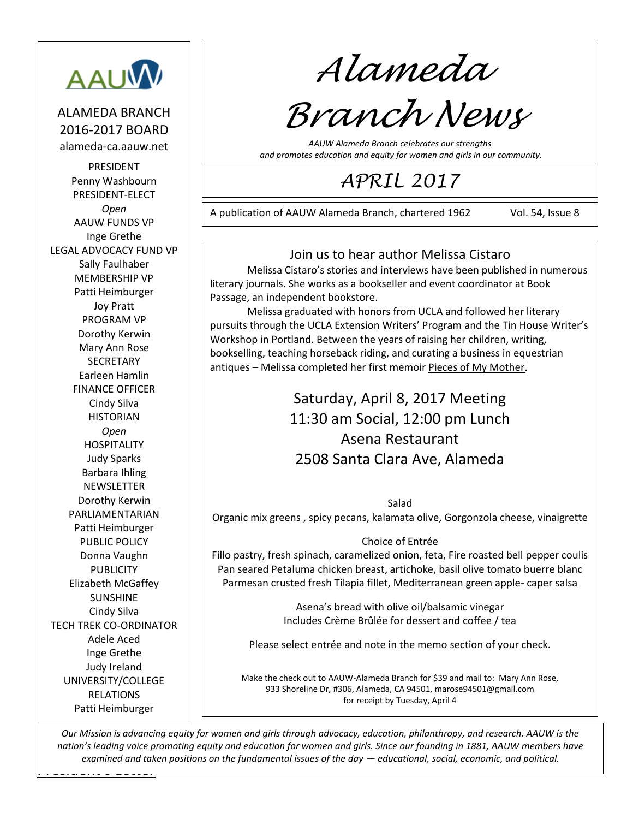

ALAMEDA BRANCH 2016-2017 BOARD alameda-ca.aauw.net

PRESIDENT Penny Washbourn PRESIDENT-ELECT *Open* AAUW FUNDS VP Inge Grethe LEGAL ADVOCACY FUND VP Sally Faulhaber MEMBERSHIP VP Patti Heimburger Joy Pratt PROGRAM VP Dorothy Kerwin Mary Ann Rose SECRETARY Earleen Hamlin FINANCE OFFICER Cindy Silva **HISTORIAN** *Open* HOSPITALITY Judy Sparks Barbara Ihling **NEWSLETTER** Dorothy Kerwin PARLIAMENTARIAN Patti Heimburger PUBLIC POLICY Donna Vaughn PUBLICITY Elizabeth McGaffey SUNSHINE Cindy Silva TECH TREK CO-ORDINATOR Adele Aced Inge Grethe Judy Ireland UNIVERSITY/COLLEGE RELATIONS Patti Heimburger

*Alameda*

# *Branch News*

*AAUW Alameda Branch celebrates our strengths and promotes education and equity for women and girls in our community.*

## *APRIL 2017*

A publication of AAUW Alameda Branch, chartered 1962 Vol. 54, Issue 8

221210

#### Join us to hear author Melissa Cistaro

Melissa Cistaro's stories and interviews have been published in numerous literary journals. She works as a bookseller and event coordinator at Book Passage, an independent bookstore.

Melissa graduated with honors from UCLA and followed her literary pursuits through the UCLA Extension Writers' Program and the Tin House Writer's Workshop in Portland. Between the years of raising her children, writing, bookselling, teaching horseback riding, and curating a business in equestrian antiques - Melissa completed her first memoir Pieces of My Mother.

> Saturday, April 8, 2017 Meeting 11:30 am Social, 12:00 pm Lunch Asena Restaurant 2508 Santa Clara Ave, Alameda

Salad Organic mix greens , spicy pecans, kalamata olive, Gorgonzola cheese, vinaigrette

#### Choice of Entrée

Fillo pastry, fresh spinach, caramelized onion, feta, Fire roasted bell pepper coulis Pan seared Petaluma chicken breast, artichoke, basil olive tomato buerre blanc Parmesan crusted fresh Tilapia fillet, Mediterranean green apple- caper salsa

> Asena's bread with olive oil/balsamic vinegar Includes Crème Brûlée for dessert and coffee / tea

Please select entrée and note in the memo section of your check.

Make the check out to AAUW-Alameda Branch for \$39 and mail to: Mary Ann Rose, 933 Shoreline Dr, #306, Alameda, CA 94501[, marose94501@gmail.com](mailto:marose94501@gmail.com) for receipt by Tuesday, April 4

<u>Letters and the Letters and</u> *Our Mission is advancing equity for women and girls through advocacy, education, philanthropy, and research. AAUW is the nation's leading voice promoting equity and education for women and girls. Since our founding in 1881, AAUW members have examined and taken positions on the fundamental issues of the day — educational, social, economic, and political.*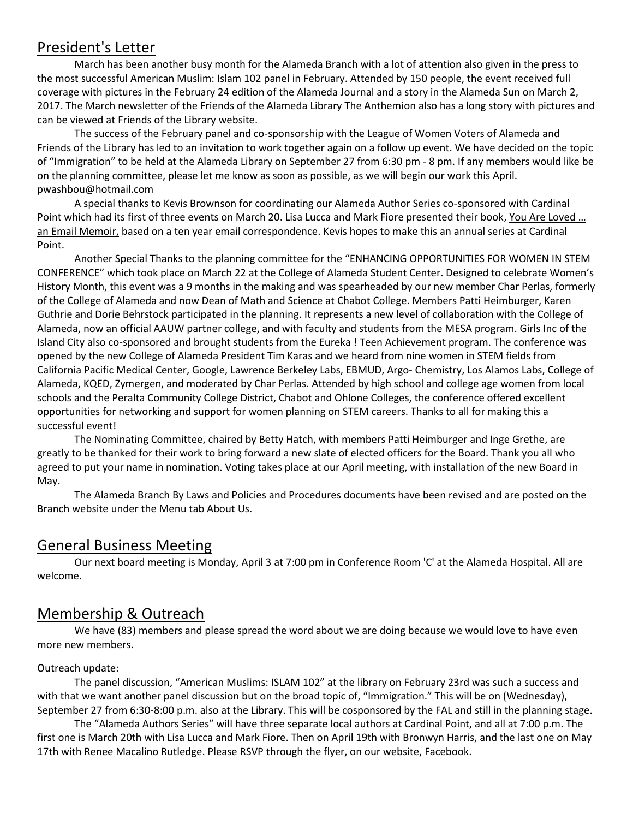#### President's Letter

March has been another busy month for the Alameda Branch with a lot of attention also given in the press to the most successful American Muslim: Islam 102 panel in February. Attended by 150 people, the event received full coverage with pictures in the February 24 edition of the Alameda Journal and a story in the Alameda Sun on March 2, 2017. The March newsletter of the Friends of the Alameda Library The Anthemion also has a long story with pictures and can be viewed at Friends of the Library website.

The success of the February panel and co-sponsorship with the League of Women Voters of Alameda and Friends of the Library has led to an invitation to work together again on a follow up event. We have decided on the topic of "Immigration" to be held at the Alameda Library on September 27 from 6:30 pm - 8 pm. If any members would like be on the planning committee, please let me know as soon as possible, as we will begin our work this April. pwashbou@hotmail.com

A special thanks to Kevis Brownson for coordinating our Alameda Author Series co-sponsored with Cardinal Point which had its first of three events on March 20. Lisa Lucca and Mark Fiore presented their book, You Are Loved … an Email Memoir, based on a ten year email correspondence. Kevis hopes to make this an annual series at Cardinal Point.

Another Special Thanks to the planning committee for the "ENHANCING OPPORTUNITIES FOR WOMEN IN STEM CONFERENCE" which took place on March 22 at the College of Alameda Student Center. Designed to celebrate Women's History Month, this event was a 9 months in the making and was spearheaded by our new member Char Perlas, formerly of the College of Alameda and now Dean of Math and Science at Chabot College. Members Patti Heimburger, Karen Guthrie and Dorie Behrstock participated in the planning. It represents a new level of collaboration with the College of Alameda, now an official AAUW partner college, and with faculty and students from the MESA program. Girls Inc of the Island City also co-sponsored and brought students from the Eureka ! Teen Achievement program. The conference was opened by the new College of Alameda President Tim Karas and we heard from nine women in STEM fields from California Pacific Medical Center, Google, Lawrence Berkeley Labs, EBMUD, Argo- Chemistry, Los Alamos Labs, College of Alameda, KQED, Zymergen, and moderated by Char Perlas. Attended by high school and college age women from local schools and the Peralta Community College District, Chabot and Ohlone Colleges, the conference offered excellent opportunities for networking and support for women planning on STEM careers. Thanks to all for making this a successful event!

The Nominating Committee, chaired by Betty Hatch, with members Patti Heimburger and Inge Grethe, are greatly to be thanked for their work to bring forward a new slate of elected officers for the Board. Thank you all who agreed to put your name in nomination. Voting takes place at our April meeting, with installation of the new Board in May.

The Alameda Branch By Laws and Policies and Procedures documents have been revised and are posted on the Branch website under the Menu tab About Us.

#### General Business Meeting

Our next board meeting is Monday, April 3 at 7:00 pm in Conference Room 'C' at the Alameda Hospital. All are welcome.

#### Membership & Outreach

We have (83) members and please spread the word about we are doing because we would love to have even more new members.

#### Outreach update:

The panel discussion, "American Muslims: ISLAM 102" at the library on February 23rd was such a success and with that we want another panel discussion but on the broad topic of, "Immigration." This will be on (Wednesday), September 27 from 6:30-8:00 p.m. also at the Library. This will be cosponsored by the FAL and still in the planning stage.

The "Alameda Authors Series" will have three separate local authors at Cardinal Point, and all at 7:00 p.m. The first one is March 20th with Lisa Lucca and Mark Fiore. Then on April 19th with Bronwyn Harris, and the last one on May 17th with Renee Macalino Rutledge. Please RSVP through the flyer, on our website, Facebook.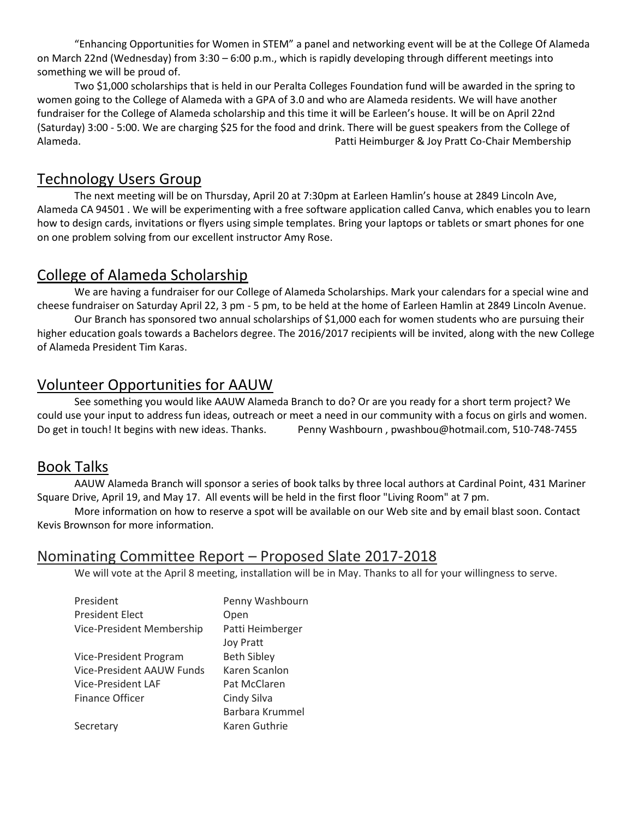"Enhancing Opportunities for Women in STEM" a panel and networking event will be at the College Of Alameda on March 22nd (Wednesday) from 3:30 – 6:00 p.m., which is rapidly developing through different meetings into something we will be proud of.

Two \$1,000 scholarships that is held in our Peralta Colleges Foundation fund will be awarded in the spring to women going to the College of Alameda with a GPA of 3.0 and who are Alameda residents. We will have another fundraiser for the College of Alameda scholarship and this time it will be Earleen's house. It will be on April 22nd (Saturday) 3:00 - 5:00. We are charging \$25 for the food and drink. There will be guest speakers from the College of Alameda. Patti Heimburger & Joy Pratt Co-Chair Membership

#### Technology Users Group

The next meeting will be on Thursday, April 20 at 7:30pm at Earleen Hamlin's house at 2849 Lincoln Ave, Alameda CA 94501 . We will be experimenting with a free software application called Canva, which enables you to learn how to design cards, invitations or flyers using simple templates. Bring your laptops or tablets or smart phones for one on one problem solving from our excellent instructor Amy Rose.

#### College of Alameda Scholarship

We are having a fundraiser for our College of Alameda Scholarships. Mark your calendars for a special wine and cheese fundraiser on Saturday April 22, 3 pm - 5 pm, to be held at the home of Earleen Hamlin at 2849 Lincoln Avenue.

Our Branch has sponsored two annual scholarships of \$1,000 each for women students who are pursuing their higher education goals towards a Bachelors degree. The 2016/2017 recipients will be invited, along with the new College of Alameda President Tim Karas.

#### Volunteer Opportunities for AAUW

See something you would like AAUW Alameda Branch to do? Or are you ready for a short term project? We could use your input to address fun ideas, outreach or meet a need in our community with a focus on girls and women. Do get in touch! It begins with new ideas. Thanks. Penny Washbourn, [pwashbou@hotmail.com,](mailto:pwashbou@hotmail.com) 510-748-7455

#### Book Talks

AAUW Alameda Branch will sponsor a series of book talks by three local authors at Cardinal Point, 431 Mariner Square Drive, April 19, and May 17. All events will be held in the first floor "Living Room" at 7 pm.

More information on how to reserve a spot will be available on our Web site and by email blast soon. Contact Kevis Brownson for more information.

#### Nominating Committee Report – Proposed Slate 2017-2018

We will vote at the April 8 meeting, installation will be in May. Thanks to all for your willingness to serve.

| President                 | Penny Washbourn    |  |  |
|---------------------------|--------------------|--|--|
| <b>President Elect</b>    | Open               |  |  |
| Vice-President Membership | Patti Heimberger   |  |  |
|                           | <b>Joy Pratt</b>   |  |  |
| Vice-President Program    | <b>Beth Sibley</b> |  |  |
| Vice-President AAUW Funds | Karen Scanlon      |  |  |
| Vice-President LAF        | Pat McClaren       |  |  |
| Finance Officer           | Cindy Silva        |  |  |
|                           | Barbara Krummel    |  |  |
| Secretary                 | Karen Guthrie      |  |  |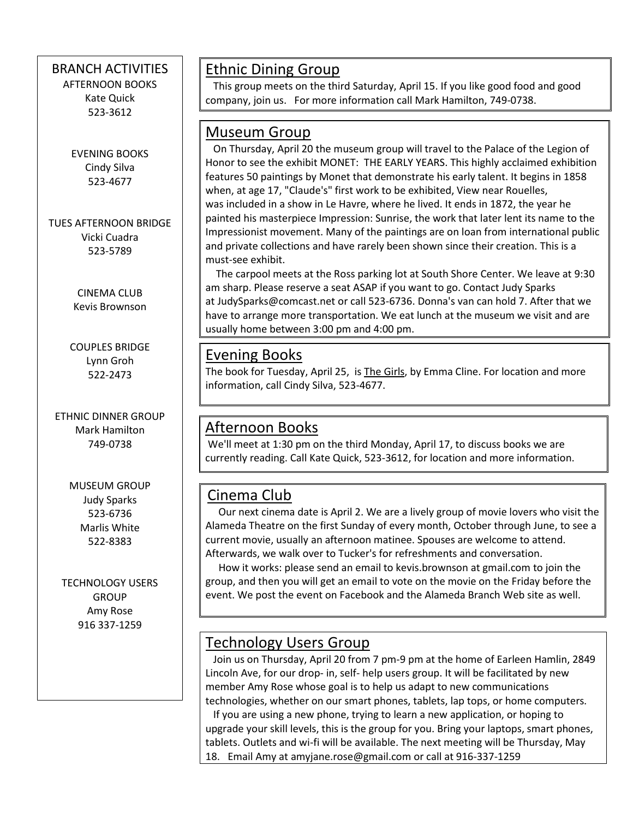#### BRANCH ACTIVITIES

AFTERNOON BOOKS Kate Quick 523-3612

EVENING BOOKS Cindy Silva 523-4677

TUES AFTERNOON BRIDGE Vicki Cuadra 523-5789

> CINEMA CLUB Kevis Brownson

COUPLES BRIDGE Lynn Groh 522-2473

ETHNIC DINNER GROUP Mark Hamilton 749-0738

> MUSEUM GROUP Judy Sparks 523-6736 Marlis White 522-8383

TECHNOLOGY USERS GROUP Amy Rose 916 337-1259

 $\overline{\phantom{a}}$ 

#### Ethnic Dining Group

 This group meets on the third Saturday, April 15. If you like good food and good company, join us. For more information call Mark Hamilton, 749-0738.

#### Museum Group

 On Thursday, April 20 the museum group will travel to the Palace of the Legion of Honor to see the exhibit MONET: THE EARLY YEARS. This highly acclaimed exhibition features 50 paintings by Monet that demonstrate his early talent. It begins in 1858 when, at age 17, "Claude's" first work to be exhibited, View near Rouelles, was included in a show in Le Havre, where he lived. It ends in 1872, the year he painted his masterpiece Impression: Sunrise, the work that later lent its name to the Impressionist movement. Many of the paintings are on loan from international public and private collections and have rarely been shown since their creation. This is a must-see exhibit.

 The carpool meets at the Ross parking lot at South Shore Center. We leave at 9:30 am sharp. Please reserve a seat ASAP if you want to go. Contact Judy Sparks at [JudySparks@comcast.net](mailto:JudySparks@comcast.net) or call 523-6736. Donna's van can hold 7. After that we have to arrange more transportation. We eat lunch at the museum we visit and are usually home between 3:00 pm and 4:00 pm.

#### Evening Books

The book for Tuesday, April 25, is The Girls, by Emma Cline. For location and more information, call Cindy Silva, 523-4677.

#### Afternoon Books

We'll meet at 1:30 pm on the third Monday, April 17, to discuss books we are currently reading. Call Kate Quick, 523-3612, for location and more information.

### Cinema Club

 Our next cinema date is April 2. We are a lively group of movie lovers who visit the Alameda Theatre on the first Sunday of every month, October through June, to see a current movie, usually an afternoon matinee. Spouses are welcome to attend. Afterwards, we walk over to Tucker's for refreshments and conversation.

 How it works: please send an email to kevis.brownson at [gmail.com](http://gmail.com/) to join the group, and then you will get an email to vote on the movie on the Friday before the event. We post the event on Facebook and the Alameda Branch Web site as well.

### Technology Users Group

 Join us on Thursday, April 20 from 7 pm-9 pm at the home of Earleen Hamlin, 2849 Lincoln Ave, for our drop- in, self- help users group. It will be facilitated by new member Amy Rose whose goal is to help us adapt to new communications technologies, whether on our smart phones, tablets, lap tops, or home computers. If you are using a new phone, trying to learn a new application, or hoping to upgrade your skill levels, this is the group for you. Bring your laptops, smart phones, tablets. Outlets and wi-fi will be available. The next meeting will be Thursday, May 18. Email Amy at [amyjane.rose@gmail.com](mailto:amyjane.rose@gmail.com) or call at 916-337-1259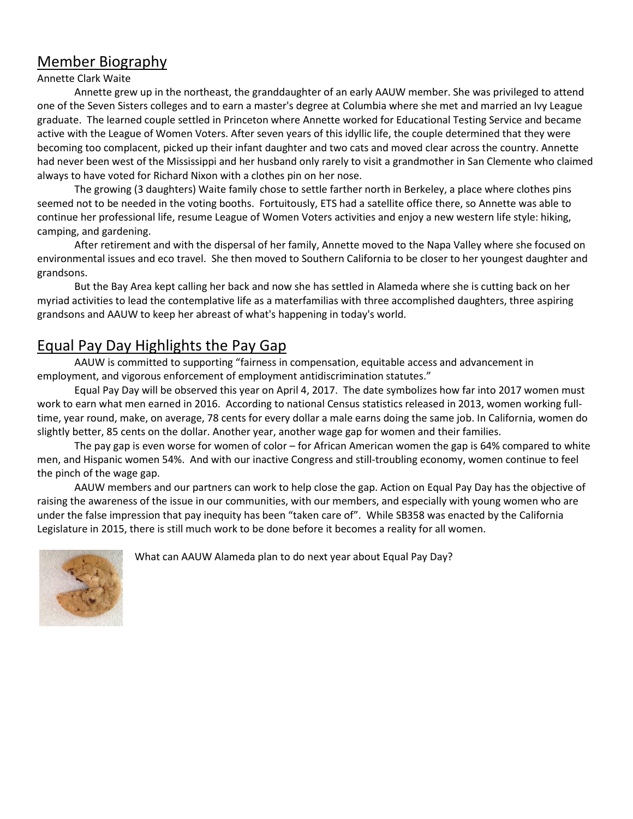#### Member Biography

#### Annette Clark Waite

Annette grew up in the northeast, the granddaughter of an early AAUW member. She was privileged to attend one of the Seven Sisters colleges and to earn a master's degree at Columbia where she met and married an Ivy League graduate. The learned couple settled in Princeton where Annette worked for Educational Testing Service and became active with the League of Women Voters. After seven years of this idyllic life, the couple determined that they were becoming too complacent, picked up their infant daughter and two cats and moved clear across the country. Annette had never been west of the Mississippi and her husband only rarely to visit a grandmother in San Clemente who claimed always to have voted for Richard Nixon with a clothes pin on her nose.

The growing (3 daughters) Waite family chose to settle farther north in Berkeley, a place where clothes pins seemed not to be needed in the voting booths. Fortuitously, ETS had a satellite office there, so Annette was able to continue her professional life, resume League of Women Voters activities and enjoy a new western life style: hiking, camping, and gardening.

After retirement and with the dispersal of her family, Annette moved to the Napa Valley where she focused on environmental issues and eco travel. She then moved to Southern California to be closer to her youngest daughter and grandsons.

But the Bay Area kept calling her back and now she has settled in Alameda where she is cutting back on her myriad activities to lead the contemplative life as a materfamilias with three accomplished daughters, three aspiring grandsons and AAUW to keep her abreast of what's happening in today's world.

#### Equal Pay Day Highlights the Pay Gap

AAUW is committed to supporting "fairness in compensation, equitable access and advancement in employment, and vigorous enforcement of employment antidiscrimination statutes."

Equal Pay Day will be observed this year on April 4, 2017. The date symbolizes how far into 2017 women must work to earn what men earned in 2016. According to national Census statistics released in 2013, women working fulltime, year round, make, on average, 78 cents for every dollar a male earns doing the same job. In California, women do slightly better, 85 cents on the dollar. Another year, another wage gap for women and their families.

The pay gap is even worse for women of color – for African American women the gap is 64% compared to white men, and Hispanic women 54%. And with our inactive Congress and still-troubling economy, women continue to feel the pinch of the wage gap.

AAUW members and our partners can work to help close the gap. Action on Equal Pay Day has the objective of raising the awareness of the issue in our communities, with our members, and especially with young women who are under the false impression that pay inequity has been "taken care of". While SB358 was enacted by the California Legislature in 2015, there is still much work to be done before it becomes a reality for all women.



What can AAUW Alameda plan to do next year about Equal Pay Day?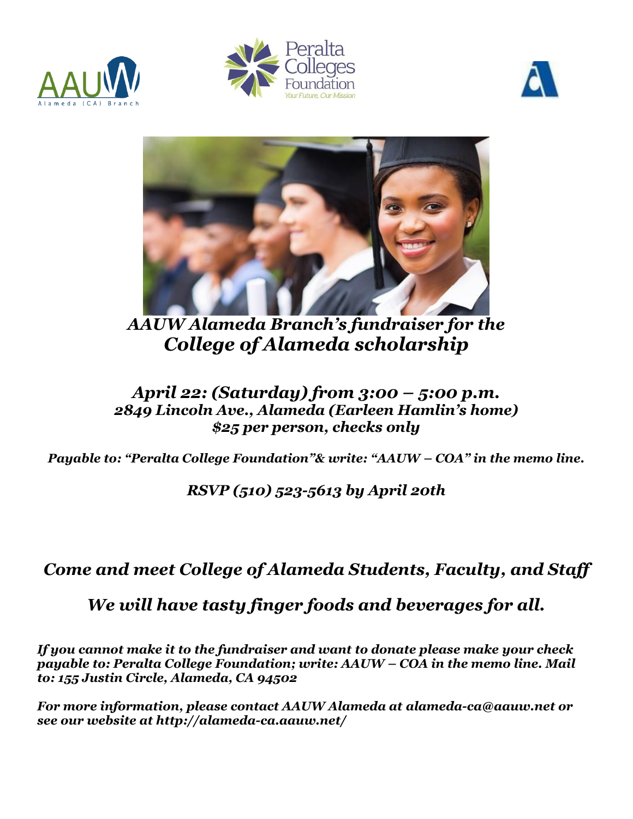







*AAUW Alameda Branch's fundraiser for the College of Alameda scholarship*

#### *April 22: (Saturday) from 3:00 – 5:00 p.m. 2849 Lincoln Ave., Alameda (Earleen Hamlin's home) \$25 per person, checks only*

*Payable to: "Peralta College Foundation"& write: "AAUW – COA" in the memo line.*

## *RSVP (510) 523-5613 by April 20th*

## *Come and meet College of Alameda Students, Faculty, and Staff*

## *We will have tasty finger foods and beverages for all.*

*If you cannot make it to the fundraiser and want to donate please make your check payable to: Peralta College Foundation; write: AAUW – COA in the memo line. Mail to: 155 Justin Circle, Alameda, CA 94502*

*For more information, please contact AAUW Alameda at [alameda-ca@aauw.net](mailto:alameda-ca@aauw.net) or see our website at<http://alameda-ca.aauw.net/>*